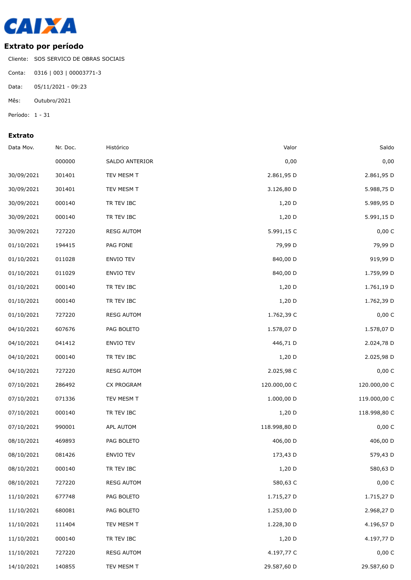

## **Extrato por período**

Cliente: SOS SERVICO DE OBRAS SOCIAIS

Conta: 0316 | 003 | 00003771-3

Data: 05/11/2021 - 09:23

Mês: Outubro/2021

Período: 1 - 31

## **Extrato**

| Data Mov.  | Nr. Doc. | Histórico         | Valor        | Saldo        |
|------------|----------|-------------------|--------------|--------------|
|            | 000000   | SALDO ANTERIOR    | 0,00         | 0,00         |
| 30/09/2021 | 301401   | TEV MESM T        | 2.861,95 D   | 2.861,95 D   |
| 30/09/2021 | 301401   | TEV MESM T        | 3.126,80 D   | 5.988,75 D   |
| 30/09/2021 | 000140   | TR TEV IBC        | $1,20$ D     | 5.989,95 D   |
| 30/09/2021 | 000140   | TR TEV IBC        | $1,20$ D     | 5.991,15 D   |
| 30/09/2021 | 727220   | <b>RESG AUTOM</b> | 5.991,15 C   | 0,00 C       |
| 01/10/2021 | 194415   | PAG FONE          | 79,99 D      | 79,99 D      |
| 01/10/2021 | 011028   | ENVIO TEV         | 840,00 D     | 919,99 D     |
| 01/10/2021 | 011029   | ENVIO TEV         | 840,00 D     | 1.759,99 D   |
| 01/10/2021 | 000140   | TR TEV IBC        | $1,20$ D     | 1.761,19 D   |
| 01/10/2021 | 000140   | TR TEV IBC        | $1,20$ D     | 1.762,39 D   |
| 01/10/2021 | 727220   | <b>RESG AUTOM</b> | 1.762,39 C   | 0,00 C       |
| 04/10/2021 | 607676   | PAG BOLETO        | 1.578,07 D   | 1.578,07 D   |
| 04/10/2021 | 041412   | ENVIO TEV         | 446,71 D     | 2.024,78 D   |
| 04/10/2021 | 000140   | TR TEV IBC        | $1,20$ D     | 2.025,98 D   |
| 04/10/2021 | 727220   | <b>RESG AUTOM</b> | 2.025,98 C   | 0,00 C       |
| 07/10/2021 | 286492   | CX PROGRAM        | 120.000,00 C | 120.000,00 C |
| 07/10/2021 | 071336   | TEV MESM T        | 1.000,00 D   | 119.000,00 C |
| 07/10/2021 | 000140   | TR TEV IBC        | $1,20$ D     | 118.998,80 C |
| 07/10/2021 | 990001   | APL AUTOM         | 118.998,80 D | 0,00 C       |
| 08/10/2021 | 469893   | PAG BOLETO        | 406,00 D     | 406,00 D     |
| 08/10/2021 | 081426   | ENVIO TEV         | 173,43 D     | 579,43 D     |
| 08/10/2021 | 000140   | TR TEV IBC        | $1,20$ D     | 580,63 D     |
| 08/10/2021 | 727220   | <b>RESG AUTOM</b> | 580,63 C     | 0,00 C       |
| 11/10/2021 | 677748   | PAG BOLETO        | 1.715,27 D   | 1.715,27 D   |
| 11/10/2021 | 680081   | PAG BOLETO        | 1.253,00 D   | 2.968,27 D   |
| 11/10/2021 | 111404   | TEV MESM T        | 1.228,30 D   | 4.196,57 D   |
| 11/10/2021 | 000140   | TR TEV IBC        | 1,20 D       | 4.197,77 D   |
| 11/10/2021 | 727220   | <b>RESG AUTOM</b> | 4.197,77 C   | 0,00 C       |
| 14/10/2021 | 140855   | TEV MESM T        | 29.587,60 D  | 29.587,60 D  |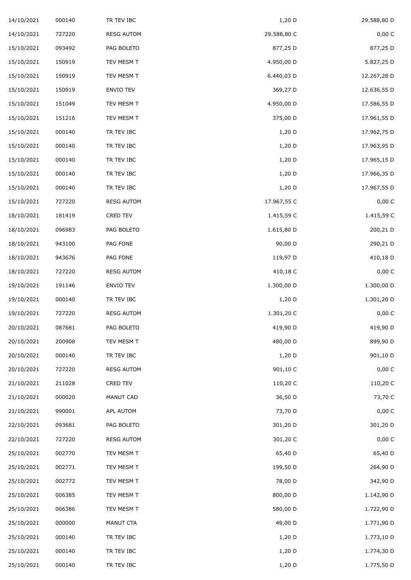| 14/10/2021 | 000140 | TR TEV IBC        | 1,20 D      | 29.588,80 D |
|------------|--------|-------------------|-------------|-------------|
| 14/10/2021 | 727220 | <b>RESG AUTOM</b> | 29.588,80 C | 0,00 C      |
| 15/10/2021 | 093492 | PAG BOLETO        | 877,25 D    | 877,25 D    |
| 15/10/2021 | 150919 | TEV MESM T        | 4.950,00 D  | 5.827,25 D  |
| 15/10/2021 | 150919 | TEV MESM T        | 6.440,03 D  | 12.267,28 D |
| 15/10/2021 | 150919 | ENVIO TEV         | 369,27 D    | 12.636,55 D |
| 15/10/2021 | 151049 | TEV MESM T        | 4.950,00 D  | 17.586,55 D |
| 15/10/2021 | 151216 | TEV MESM T        | 375,00 D    | 17.961,55 D |
| 15/10/2021 | 000140 | TR TEV IBC        | 1,20 D      | 17.962,75 D |
| 15/10/2021 | 000140 | TR TEV IBC        | 1,20 D      | 17.963,95 D |
| 15/10/2021 | 000140 | TR TEV IBC        | 1,20 D      | 17.965,15 D |
| 15/10/2021 | 000140 | TR TEV IBC        | 1,20 D      | 17.966,35 D |
| 15/10/2021 | 000140 | TR TEV IBC        | 1,20 D      | 17.967,55 D |
| 15/10/2021 | 727220 | <b>RESG AUTOM</b> | 17.967,55 C | 0,00 C      |
| 18/10/2021 | 181419 | CRED TEV          | 1.415,59 C  | 1.415,59 C  |
| 18/10/2021 | 096983 | PAG BOLETO        | 1.615,80 D  | 200,21 D    |
| 18/10/2021 | 943100 | PAG FONE          | 90,00 D     | 290,21 D    |
| 18/10/2021 | 943676 | PAG FONE          | 119,97 D    | 410,18 D    |
| 18/10/2021 | 727220 | <b>RESG AUTOM</b> | 410,18 C    | 0,00 C      |
| 19/10/2021 | 191146 | ENVIO TEV         | 1.300,00 D  | 1.300,00 D  |
| 19/10/2021 | 000140 | TR TEV IBC        | $1,20$ D    | 1.301,20 D  |
| 19/10/2021 | 727220 | <b>RESG AUTOM</b> | 1.301,20 C  | 0,00 C      |
| 20/10/2021 | 087681 | PAG BOLETO        | 419,90 D    | 419,90 D    |
| 20/10/2021 | 200908 | TEV MESM T        | 480,00 D    | 899,90 D    |
| 20/10/2021 | 000140 | TR TEV IBC        | 1,20 D      | 901,10 D    |
| 20/10/2021 | 727220 | <b>RESG AUTOM</b> | 901,10 C    | 0,00 C      |
| 21/10/2021 | 211028 | CRED TEV          | 110,20 C    | 110,20 C    |
| 21/10/2021 | 000020 | MANUT CAD         | 36,50 D     | 73,70 C     |
| 21/10/2021 | 990001 | APL AUTOM         | 73,70 D     | 0,00 C      |
| 22/10/2021 | 093681 | PAG BOLETO        | 301,20 D    | 301,20 D    |
| 22/10/2021 | 727220 | <b>RESG AUTOM</b> | 301,20 C    | 0,00 C      |
| 25/10/2021 | 002770 | TEV MESM T        | 65,40 D     | 65,40 D     |
| 25/10/2021 | 002771 | TEV MESM T        | 199,50 D    | 264,90 D    |
| 25/10/2021 | 002772 | TEV MESM T        | 78,00 D     | 342,90 D    |
| 25/10/2021 | 006385 | TEV MESM T        | 800,00 D    | 1.142,90 D  |
| 25/10/2021 | 006386 | TEV MESM T        | 580,00 D    | 1.722,90 D  |
| 25/10/2021 | 000000 | MANUT CTA         | 49,00 D     | 1.771,90 D  |
| 25/10/2021 | 000140 | TR TEV IBC        | $1,20$ D    | 1.773,10 D  |
| 25/10/2021 | 000140 | TR TEV IBC        | $1,20$ D    | 1.774,30 D  |
| 25/10/2021 | 000140 | TR TEV IBC        | 1,20 D      | 1.775,50 D  |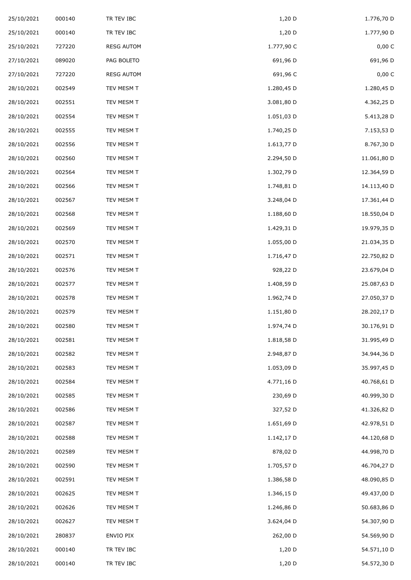| 25/10/2021 | 000140 | TR TEV IBC        | 1,20 D     | 1.776,70 D  |
|------------|--------|-------------------|------------|-------------|
| 25/10/2021 | 000140 | TR TEV IBC        | 1,20 D     | 1.777,90 D  |
| 25/10/2021 | 727220 | <b>RESG AUTOM</b> | 1.777,90 C | 0,00 C      |
| 27/10/2021 | 089020 | PAG BOLETO        | 691,96 D   | 691,96 D    |
| 27/10/2021 | 727220 | <b>RESG AUTOM</b> | 691,96 C   | 0,00 C      |
| 28/10/2021 | 002549 | TEV MESM T        | 1.280,45 D | 1.280,45 D  |
| 28/10/2021 | 002551 | TEV MESM T        | 3.081,80 D | 4.362,25 D  |
| 28/10/2021 | 002554 | TEV MESM T        | 1.051,03 D | 5.413,28 D  |
| 28/10/2021 | 002555 | TEV MESM T        | 1.740,25 D | 7.153,53 D  |
| 28/10/2021 | 002556 | TEV MESM T        | 1.613,77 D | 8.767,30 D  |
| 28/10/2021 | 002560 | TEV MESM T        | 2.294,50 D | 11.061,80 D |
| 28/10/2021 | 002564 | TEV MESM T        | 1.302,79 D | 12.364,59 D |
| 28/10/2021 | 002566 | TEV MESM T        | 1.748,81 D | 14.113,40 D |
| 28/10/2021 | 002567 | TEV MESM T        | 3.248,04 D | 17.361,44 D |
| 28/10/2021 | 002568 | TEV MESM T        | 1.188,60 D | 18.550,04 D |
| 28/10/2021 | 002569 | TEV MESM T        | 1.429,31 D | 19.979,35 D |
| 28/10/2021 | 002570 | TEV MESM T        | 1.055,00 D | 21.034,35 D |
| 28/10/2021 | 002571 | TEV MESM T        | 1.716,47 D | 22.750,82 D |
| 28/10/2021 | 002576 | TEV MESM T        | 928,22 D   | 23.679,04 D |
| 28/10/2021 | 002577 | TEV MESM T        | 1.408,59 D | 25.087,63 D |
| 28/10/2021 | 002578 | TEV MESM T        | 1.962,74 D | 27.050,37 D |
| 28/10/2021 | 002579 | TEV MESM T        | 1.151,80 D | 28.202,17 D |
| 28/10/2021 | 002580 | TEV MESM T        | 1.974,74 D | 30.176,91 D |
| 28/10/2021 | 002581 | TEV MESM T        | 1.818,58 D | 31.995,49 D |
| 28/10/2021 | 002582 | TEV MESM T        | 2.948,87 D | 34.944,36 D |
| 28/10/2021 | 002583 | TEV MESM T        | 1.053,09 D | 35.997,45 D |
| 28/10/2021 | 002584 | TEV MESM T        | 4.771,16 D | 40.768,61 D |
| 28/10/2021 | 002585 | TEV MESM T        | 230,69 D   | 40.999,30 D |
| 28/10/2021 | 002586 | TEV MESM T        | 327,52 D   | 41.326,82 D |
| 28/10/2021 | 002587 | TEV MESM T        | 1.651,69 D | 42.978,51 D |
| 28/10/2021 | 002588 | TEV MESM T        | 1.142,17 D | 44.120,68 D |
| 28/10/2021 | 002589 | TEV MESM T        | 878,02 D   | 44.998,70 D |
| 28/10/2021 | 002590 | TEV MESM T        | 1.705,57 D | 46.704,27 D |
| 28/10/2021 | 002591 | TEV MESM T        | 1.386,58 D | 48.090,85 D |
| 28/10/2021 | 002625 | TEV MESM T        | 1.346,15 D | 49.437,00 D |
| 28/10/2021 | 002626 | TEV MESM T        | 1.246,86 D | 50.683,86 D |
| 28/10/2021 | 002627 | TEV MESM T        | 3.624,04 D | 54.307,90 D |
| 28/10/2021 | 280837 | ENVIO PIX         | 262,00 D   | 54.569,90 D |
| 28/10/2021 | 000140 | TR TEV IBC        | $1,20$ D   | 54.571,10 D |
| 28/10/2021 | 000140 | TR TEV IBC        | 1,20 D     | 54.572,30 D |